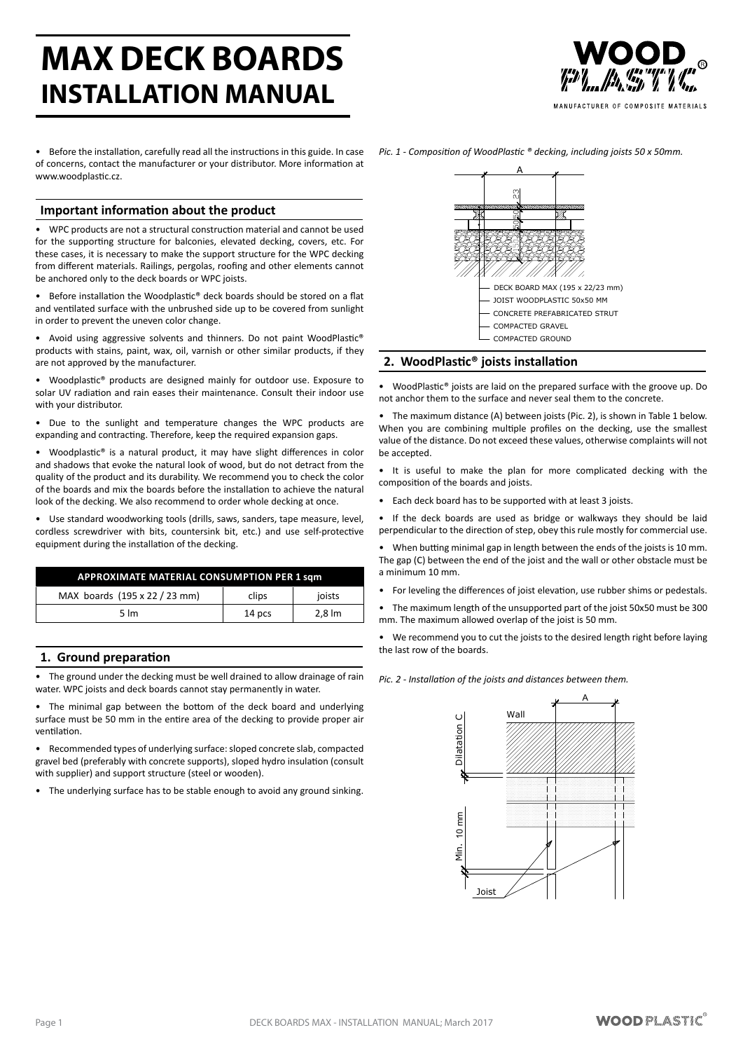# **MAX DECK BOARDS INSTALLATION MANUAL**

MANUFACTURER OF COMPOSITE MATERIALS

Before the installation, carefully read all the instructions in this guide. In case of concerns, contact the manufacturer or your distributor. More information at www.woodplastic.cz

# **Important information about the product**

WPC products are not a structural construction material and cannot be used for the supporting structure for balconies, elevated decking, covers, etc. For these cases, it is necessary to make the support structure for the WPC decking from different materials. Railings, pergolas, roofing and other elements cannot be anchored only to the deck boards or WPC joists.

Before installation the Woodplastic® deck boards should be stored on a flat and ventilated surface with the unbrushed side up to be covered from sunlight in order to prevent the uneven color change.

Avoid using aggressive solvents and thinners. Do not paint WoodPlastic® products with stains, paint, wax, oil, varnish or other similar products, if they are not approved by the manufacturer.

Woodplastic® products are designed mainly for outdoor use. Exposure to solar UV radiation and rain eases their maintenance. Consult their indoor use with your distributor.

Due to the sunlight and temperature changes the WPC products are expanding and contracting. Therefore, keep the required expansion gaps.

• Woodplastic® is a natural product, it may have slight differences in color and shadows that evoke the natural look of wood, but do not detract from the quality of the product and its durability. We recommend you to check the color of the boards and mix the boards before the installation to achieve the natural look of the decking. We also recommend to order whole decking at once.

Use standard woodworking tools (drills, saws, sanders, tape measure, level, cordless screwdriver with bits, countersink bit, etc.) and use self-protective equipment during the installation of the decking.

| <b>APPROXIMATE MATERIAL CONSUMPTION PER 1 sqm</b> |        |                    |  |
|---------------------------------------------------|--------|--------------------|--|
| MAX boards (195 x 22 / 23 mm)                     | clips  | joists             |  |
| $5 \, \text{Im}$                                  | 14 pcs | $2.8 \, \text{Im}$ |  |

# **1. Ground preparation**

The ground under the decking must be well drained to allow drainage of rain water. WPC joists and deck boards cannot stay permanently in water.

The minimal gap between the bottom of the deck board and underlying surface must be 50 mm in the entire area of the decking to provide proper air ventilation.

Recommended types of underlying surface: sloped concrete slab, compacted gravel bed (preferably with concrete supports), sloped hydro insulation (consult with supplier) and support structure (steel or wooden).

• The underlying surface has to be stable enough to avoid any ground sinking.



## **2. WoodPlastic® joists installation**

WoodPlastic<sup>®</sup> joists are laid on the prepared surface with the groove up. Do not anchor them to the surface and never seal them to the concrete.

• The maximum distance (A) between joists (Pic. 2), is shown in Table 1 below. When you are combining multiple profiles on the decking, use the smallest value of the distance. Do not exceed these values, otherwise complaints will not be accepted.

• It is useful to make the plan for more complicated decking with the composition of the boards and joists.

• Each deck board has to be supported with at least 3 joists.

If the deck boards are used as bridge or walkways they should be laid perpendicular to the direction of step, obey this rule mostly for commercial use.

When butting minimal gap in length between the ends of the joists is 10 mm. The gap (C) between the end of the joist and the wall or other obstacle must be a minimum 10 mm.

For leveling the differences of joist elevation, use rubber shims or pedestals.

• The maximum length of the unsupported part of the joist 50x50 must be 300 mm. The maximum allowed overlap of the joist is 50 mm.

We recommend you to cut the joists to the desired length right before laying the last row of the boards.

*Pic. 2 - Installation of the joists and distances between them.*

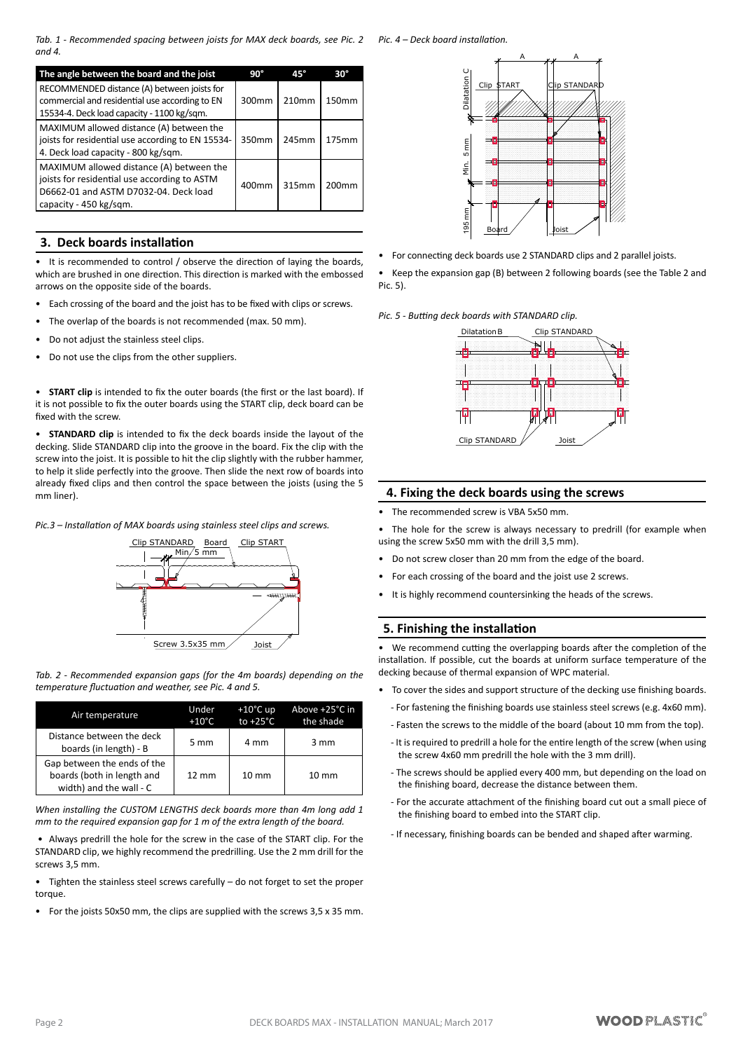*Tab. 1 - Recommended spacing between joists for MAX deck boards, see Pic. 2 Pic. 4 – Deck board installation. and 4.*

| The angle between the board and the joist                                                                                                                   | $90^{\circ}$ | $45^\circ$ | $30^\circ$        |
|-------------------------------------------------------------------------------------------------------------------------------------------------------------|--------------|------------|-------------------|
| RECOMMENDED distance (A) between joists for<br>commercial and residential use according to EN<br>15534-4. Deck load capacity - 1100 kg/sqm.                 | 300mm        | 210mm      | 150 <sub>mm</sub> |
| MAXIMUM allowed distance (A) between the<br>joists for residential use according to EN 15534-<br>4. Deck load capacity - 800 kg/sqm.                        | 350mm        | 245mm      | 175mm             |
| MAXIMUM allowed distance (A) between the<br>joists for residential use according to ASTM<br>D6662-01 and ASTM D7032-04. Deck load<br>capacity - 450 kg/sqm. | 400mm        | 315mm      | 200 <sub>mm</sub> |

# **3. Deck boards installation**

It is recommended to control / observe the direction of laying the boards, which are brushed in one direction. This direction is marked with the embossed arrows on the opposite side of the boards.

- Each crossing of the board and the joist has to be fixed with clips or screws.
- The overlap of the boards is not recommended (max. 50 mm).
- Do not adjust the stainless steel clips.
- Do not use the clips from the other suppliers.

**START clip** is intended to fix the outer boards (the first or the last board). If it is not possible to fix the outer boards using the START clip, deck board can be fixed with the screw.

• **STANDARD clip** is intended to fix the deck boards inside the layout of the decking. Slide STANDARD clip into the groove in the board. Fix the clip with the screw into the joist. It is possible to hit the clip slightly with the rubber hammer, to help it slide perfectly into the groove. Then slide the next row of boards into already fixed clips and then control the space between the joists (using the 5 mm liner).

*Pic.3 – Installation of MAX boards using stainless steel clips and screws.*



*Tab. 2 - Recommended expansion gaps (for the 4m boards) depending on the temperature fluctuation and weather, see Pic. 4 and 5.*

| Air temperature                                                                      | Under<br>$+10^{\circ}$ C | $+10^{\circ}$ C up<br>to $+25^{\circ}$ C | Above +25°C in<br>the shade |
|--------------------------------------------------------------------------------------|--------------------------|------------------------------------------|-----------------------------|
| Distance between the deck<br>boards (in length) - B                                  | 5 mm                     | 4 mm                                     | 3 mm                        |
| Gap between the ends of the<br>boards (both in length and<br>width) and the wall - C | $12 \text{ mm}$          | $10 \, \text{mm}$                        | $10 \text{ mm}$             |

*When installing the CUSTOM LENGTHS deck boards more than 4m long add 1 mm to the required expansion gap for 1 m of the extra length of the board.*

Always predrill the hole for the screw in the case of the START clip. For the STANDARD clip, we highly recommend the predrilling. Use the 2 mm drill for the screws 3,5 mm.

- Tighten the stainless steel screws carefully  $-$  do not forget to set the proper torque.
- For the joists 50x50 mm, the clips are supplied with the screws 3,5 x 35 mm.



- For connecting deck boards use 2 STANDARD clips and 2 parallel joists.
- • Keep the expansion gap (B) between 2 following boards (see the Table 2 and Pic. 5).

*Pic. 5 - Butting deck boards with STANDARD clip.*



# **4. Fixing the deck boards using the screws**

The recommended screw is VBA 5x50 mm.

The hole for the screw is always necessary to predrill (for example when using the screw 5x50 mm with the drill 3,5 mm).

- Do not screw closer than 20 mm from the edge of the board.
- For each crossing of the board and the joist use 2 screws.
- It is highly recommend countersinking the heads of the screws.

# **5. Finishing the installation**

• We recommend cutting the overlapping boards after the completion of the installation. If possible, cut the boards at uniform surface temperature of the decking because of thermal expansion of WPC material.

- To cover the sides and support structure of the decking use finishing boards.
	- For fastening the finishing boards use stainless steel screws (e.g. 4x60 mm).
	- Fasten the screws to the middle of the board (about 10 mm from the top).
	- It is required to predrill a hole for the entire length of the screw (when using the screw 4x60 mm predrill the hole with the 3 mm drill).
	- The screws should be applied every 400 mm, but depending on the load on the finishing board, decrease the distance between them.
	- For the accurate attachment of the finishing board cut out a small piece of the finishing board to embed into the START clip.
	- If necessary, finishing boards can be bended and shaped after warming.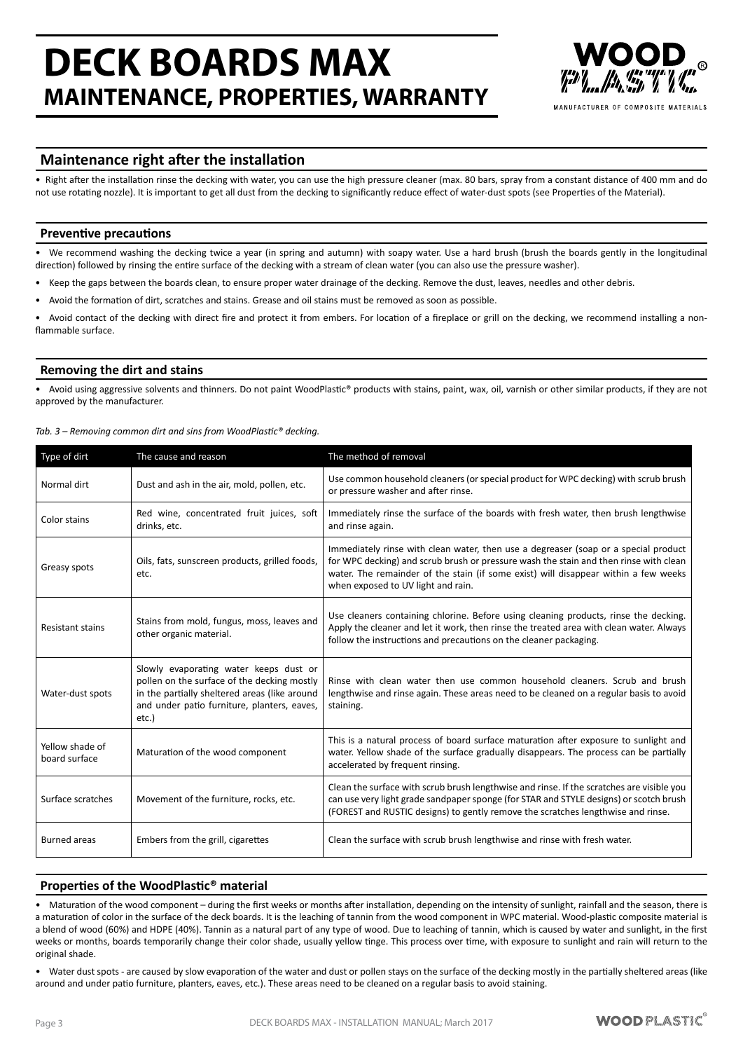# **DECK BOARDS MAX MAINTENANCE, PROPERTIES, WARRANTY**



MANIIFACTURER OF COMPOSITE MATERIALS

# **Maintenance right after the installation**

• Right after the installation rinse the decking with water, you can use the high pressure cleaner (max. 80 bars, spray from a constant distance of 400 mm and do not use rotating nozzle). It is important to get all dust from the decking to significantly reduce effect of water-dust spots (see Properties of the Material).

## **Preventive precautions**

We recommend washing the decking twice a year (in spring and autumn) with soapy water. Use a hard brush (brush the boards gently in the longitudinal direction) followed by rinsing the entire surface of the decking with a stream of clean water (you can also use the pressure washer).

- Keep the gaps between the boards clean, to ensure proper water drainage of the decking. Remove the dust, leaves, needles and other debris.
- Avoid the formation of dirt, scratches and stains. Grease and oil stains must be removed as soon as possible.

Avoid contact of the decking with direct fire and protect it from embers. For location of a fireplace or grill on the decking, we recommend installing a nonflammable surface.

## **Removing the dirt and stains**

Avoid using aggressive solvents and thinners. Do not paint WoodPlastic® products with stains, paint, wax, oil, varnish or other similar products, if they are not approved by the manufacturer.

| Type of dirt                     | The cause and reason                                                                                                                                                                           | The method of removal                                                                                                                                                                                                                                                                                     |
|----------------------------------|------------------------------------------------------------------------------------------------------------------------------------------------------------------------------------------------|-----------------------------------------------------------------------------------------------------------------------------------------------------------------------------------------------------------------------------------------------------------------------------------------------------------|
| Normal dirt                      | Dust and ash in the air, mold, pollen, etc.                                                                                                                                                    | Use common household cleaners (or special product for WPC decking) with scrub brush<br>or pressure washer and after rinse.                                                                                                                                                                                |
| Color stains                     | Red wine, concentrated fruit juices, soft<br>drinks, etc.                                                                                                                                      | Immediately rinse the surface of the boards with fresh water, then brush lengthwise<br>and rinse again.                                                                                                                                                                                                   |
| Greasy spots                     | Oils, fats, sunscreen products, grilled foods,<br>etc.                                                                                                                                         | Immediately rinse with clean water, then use a degreaser (soap or a special product<br>for WPC decking) and scrub brush or pressure wash the stain and then rinse with clean<br>water. The remainder of the stain (if some exist) will disappear within a few weeks<br>when exposed to UV light and rain. |
| <b>Resistant stains</b>          | Stains from mold, fungus, moss, leaves and<br>other organic material.                                                                                                                          | Use cleaners containing chlorine. Before using cleaning products, rinse the decking.<br>Apply the cleaner and let it work, then rinse the treated area with clean water. Always<br>follow the instructions and precautions on the cleaner packaging.                                                      |
| Water-dust spots                 | Slowly evaporating water keeps dust or<br>pollen on the surface of the decking mostly<br>in the partially sheltered areas (like around<br>and under patio furniture, planters, eaves,<br>etc.) | Rinse with clean water then use common household cleaners. Scrub and brush<br>lengthwise and rinse again. These areas need to be cleaned on a regular basis to avoid<br>staining.                                                                                                                         |
| Yellow shade of<br>board surface | Maturation of the wood component                                                                                                                                                               | This is a natural process of board surface maturation after exposure to sunlight and<br>water. Yellow shade of the surface gradually disappears. The process can be partially<br>accelerated by frequent rinsing.                                                                                         |
| Surface scratches                | Movement of the furniture, rocks, etc.                                                                                                                                                         | Clean the surface with scrub brush lengthwise and rinse. If the scratches are visible you<br>can use very light grade sandpaper sponge (for STAR and STYLE designs) or scotch brush<br>(FOREST and RUSTIC designs) to gently remove the scratches lengthwise and rinse.                                   |
| <b>Burned</b> areas              | Embers from the grill, cigarettes                                                                                                                                                              | Clean the surface with scrub brush lengthwise and rinse with fresh water.                                                                                                                                                                                                                                 |

*Tab. 3 – Removing common dirt and sins from WoodPlastic® decking.*

## **Properties of the WoodPlastic® material**

Maturation of the wood component – during the first weeks or months after installation, depending on the intensity of sunlight, rainfall and the season, there is a maturation of color in the surface of the deck boards. It is the leaching of tannin from the wood component in WPC material. Wood-plastic composite material is a blend of wood (60%) and HDPE (40%). Tannin as a natural part of any type of wood. Due to leaching of tannin, which is caused by water and sunlight, in the first weeks or months, boards temporarily change their color shade, usually yellow tinge. This process over time, with exposure to sunlight and rain will return to the original shade.

• Water dust spots - are caused by slow evaporation of the water and dust or pollen stays on the surface of the decking mostly in the partially sheltered areas (like around and under patio furniture, planters, eaves, etc.). These areas need to be cleaned on a regular basis to avoid staining.